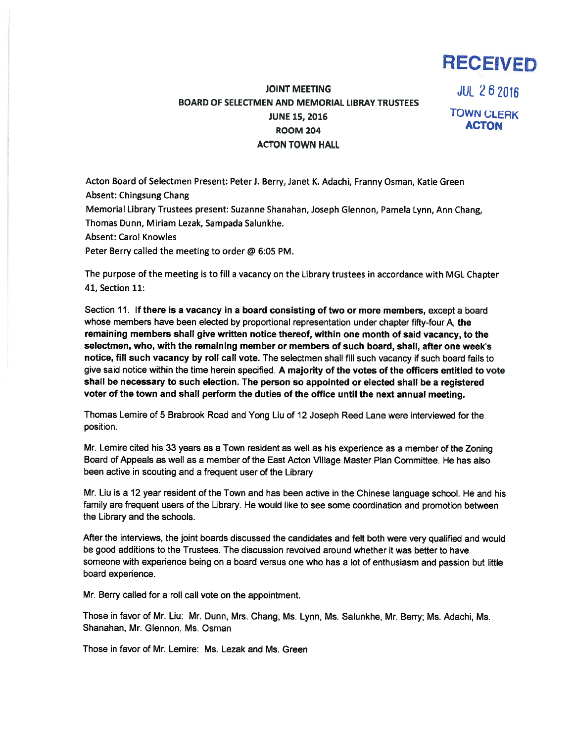

## JOINT MEETING JUL 2 6 2016 BOARD OF SELECTMEN AND MEMORIAL LIBRAY TRUSTEES JUNE 15, 2016 TOWN CLERK **ROOM 204** ACTON TOWN HALL

Acton Board of Selectmen Present: Peter J. Berry, Janet K. Adachi, Franny Osman, Katie Green Absent: Chingsung Chang

Memorial Library Trustees present: Suzanne Shanahan, Joseph Glennon, Pamela Lynn, Ann Chang, Thomas Dunn, Miriam Lezak, Sampada Salunkhe.

Absent: Carol Knowles

Peter Berry called the meeting to order @ 6:05 PM.

The purpose of the meeting is to fill <sup>a</sup> vacancy on the Library trustees in accordance with MGL Chapter 41, Section 11:

Section 11. If there is <sup>a</sup> vacancy in <sup>a</sup> board consisting of two or more members, excep<sup>t</sup> <sup>a</sup> board whose members have been elected by proportional representation under chapter fifty-four A, the remaining members shall <sup>g</sup>ive written notice thereof, within one month of said vacancy, to the selectmen, who, with the remaining member or members of such board, shall, after one week's notice, fill such vacancy by roll call vote. The selectmen shall fill such vacancy if such board fails to give said notice within the time herein specified. A majority of the votes of the officers entitled to vote shall be necessary to such election. The person so appointed or elected shall be <sup>a</sup> registered voter of the town and shall perform the duties of the office until the next annual meeting.

Thomas Lemire of 5 Brabrook Road and Yong Liu of <sup>12</sup> Joseph Reed Lane were interviewed for the position.

Mr. Lemire cited his <sup>33</sup> years as <sup>a</sup> Town resident as well as his experience as <sup>a</sup> member of the Zoning Board of Appeals as well as <sup>a</sup> member of the East Acton Village Master Plan Committee. He has also been active in scouting and <sup>a</sup> frequent user of the Library

Mr. Liu is <sup>a</sup> <sup>12</sup> year resident of the Town and has been active in the Chinese language school. He and his family are frequent users of the Library. He would like to see some coordination and promotion between the Library and the schools.

After the interviews, the joint boards discussed the candidates and felt both were very qualified and would be good additions to the Trustees. The discussion revolved around whether it was better to have someone with experience being on <sup>a</sup> board versus one who has <sup>a</sup> lot of enthusiasm and passion but little board experience.

Mr. Berry called for <sup>a</sup> roll call vote on the appointment.

Those in favor of Mr. Liu: Mr. Dunn, Mrs. Chang, Ms. Lynn, Ms. Salunkhe, Mr. Berry; Ms. Adachi, Ms. Shanahan, Mr. Glennon, Ms. Osman

Those in favor of Mr. Lemire: Ms. Lezak and Ms. Green